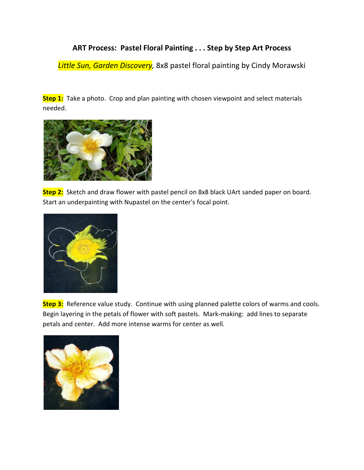## **ART Process: Pastel Floral Painting . . . Step by Step Art Process**

*Little Sun, Garden Discovery,* 8x8 pastel floral painting by Cindy Morawski

**Step 1:** Take a photo. Crop and plan painting with chosen viewpoint and select materials needed.



**Step 2:** Sketch and draw flower with pastel pencil on 8x8 black UArt sanded paper on board. Start an underpainting with Nupastel on the center's focal point.



**Step 3:** Reference value study. Continue with using planned palette colors of warms and cools. Begin layering in the petals of flower with soft pastels. Mark-making: add lines to separate petals and center. Add more intense warms for center as well.